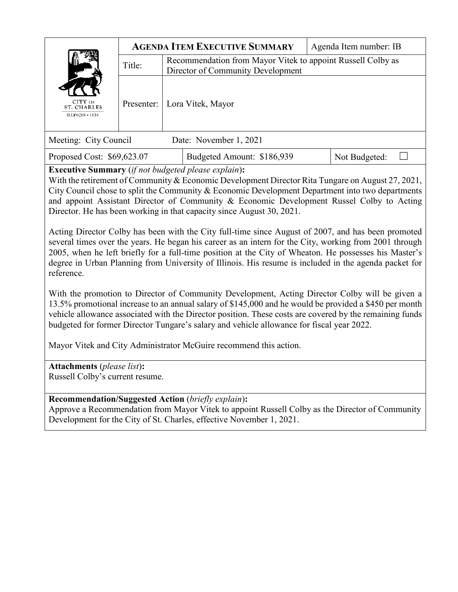| CITY OF<br>ST. CHARLES<br><b>ILLINOIS + 1834</b>                                                                                                                                                                                                                   | <b>AGENDA ITEM EXECUTIVE SUMMARY</b> |                                                                                                  |                            | Agenda Item number: IB |  |
|--------------------------------------------------------------------------------------------------------------------------------------------------------------------------------------------------------------------------------------------------------------------|--------------------------------------|--------------------------------------------------------------------------------------------------|----------------------------|------------------------|--|
|                                                                                                                                                                                                                                                                    | Title:                               | Recommendation from Mayor Vitek to appoint Russell Colby as<br>Director of Community Development |                            |                        |  |
|                                                                                                                                                                                                                                                                    | Presenter:                           |                                                                                                  | Lora Vitek, Mayor          |                        |  |
| Meeting: City Council<br>Date: November 1, 2021                                                                                                                                                                                                                    |                                      |                                                                                                  |                            |                        |  |
| Proposed Cost: \$69,623.07                                                                                                                                                                                                                                         |                                      |                                                                                                  | Budgeted Amount: \$186,939 | Not Budgeted:          |  |
| <b>Executive Summary</b> (if not budgeted please explain):<br>With the retirement of Community & Economic Development Director Rita Tungare on August 27, 2021,<br>City Cornell chase to sult the Community & Foodenic Development Department into two departments |                                      |                                                                                                  |                            |                        |  |

City Council chose to split the Community & Economic Development Department into two departments and appoint Assistant Director of Community & Economic Development Russel Colby to Acting Director. He has been working in that capacity since August 30, 2021.

Acting Director Colby has been with the City full-time since August of 2007, and has been promoted several times over the years. He began his career as an intern for the City, working from 2001 through 2005, when he left briefly for a full-time position at the City of Wheaton. He possesses his Master's degree in Urban Planning from University of Illinois. His resume is included in the agenda packet for reference.

With the promotion to Director of Community Development, Acting Director Colby will be given a 13.5% promotional increase to an annual salary of \$145,000 and he would be provided a \$450 per month vehicle allowance associated with the Director position. These costs are covered by the remaining funds budgeted for former Director Tungare's salary and vehicle allowance for fiscal year 2022.

Mayor Vitek and City Administrator McGuire recommend this action.

**Attachments** (*please list*)**:** Russell Colby's current resume.

# **Recommendation/Suggested Action** (*briefly explain*)**:**

Approve a Recommendation from Mayor Vitek to appoint Russell Colby as the Director of Community Development for the City of St. Charles, effective November 1, 2021.